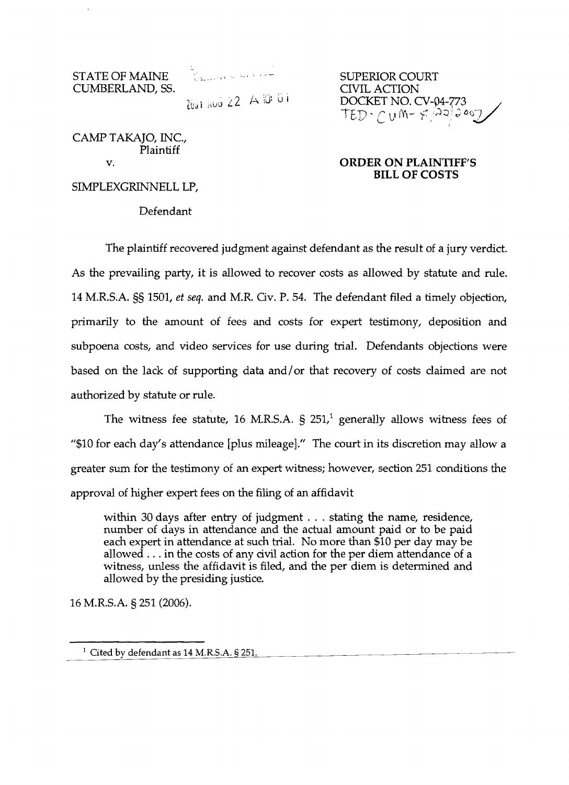CUMBERLAND, 55. CIVIL ACTION

~.lUJ I *;c.\N*  ..,J *L L* 

CAMP TAKAJO, INC., Plaintiff

# STATE OF MAINE SUPERIOR COURT DOCKET NO. CV-04-773  $\text{TED-}\text{CUM-}\neq\frac{\text{A2}}{\text{A2}}\text{Cov}$

#### v. **CORDER ON PLAINTIFF'S BILL OF COSTS**

SIMPLEXGRINNELL LP,

Defendant

The plaintiff recovered judgment against defendant as the result of a jury verdict. As the prevailing party, it is allowed to recover costs as allowed by statute and rule. 14 M.R.S.A. §§ 1501, *et seq.* and M.R. Ov. P. 54. The defendant filed a timely objection, primarily to the amount of fees and costs for expert testimony, deposition and subpoena costs, and video services for use during trial. Defendants objections were based on the lack of supporting data and/ or that recovery of costs claimed are not authorized by statute or rule.

The witness fee statute, 16 M.R.S.A.  $\hat{S}$  251,<sup>1</sup> generally allows witness fees of *"\$10* for each day's attendance [plus mileage]." The court in its discretion may allow a greater sum for the testimony of an expert witness; however, section 251 conditions the approval of higher expert fees on the filing of an affidavit

within 30 days after entry of judgment . . . stating the name, residence, number of days in attendance and the actual amount paid or to be paid each expert in attendance at such trial. No more than \$10 per day may be allowed ... in the costs of any civil action for the per diem attendance of a witness, unless the affidavit is filed, and the per diem is determined and allowed by the presiding justice.

16 M.R.S.A. § 251 (2006).

<sup>&</sup>lt;sup>1</sup> Cited by defendant as 14 M.R.S.A. § 251.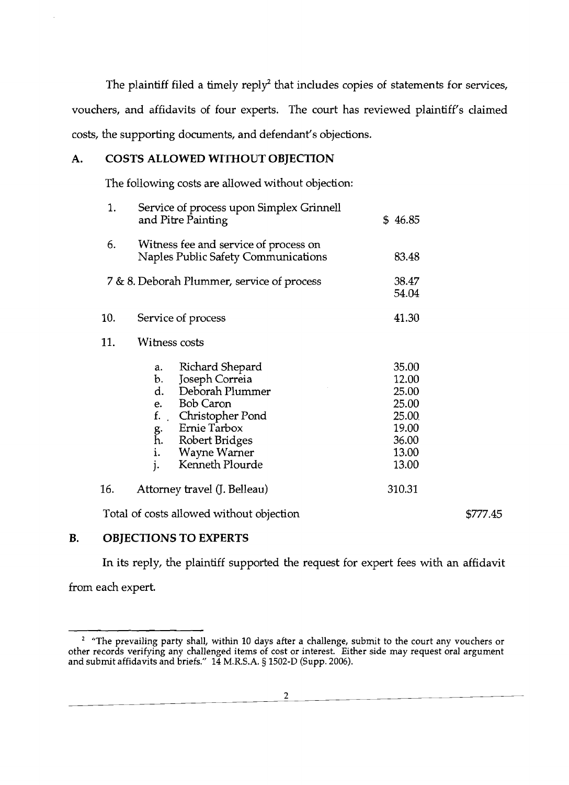The plaintiff filed a timely reply<sup>2</sup> that includes copies of statements for services, vouchers, and affidavits of four experts. The court has reviewed plaintiff's claimed costs, the supporting documents, and defendant's objections.

# A. COSTS ALLOWED WITHOUT OBJECTION

The following costs are allowed without objection:

| 1.  | Service of process upon Simplex Grinnell<br>and Pitre Painting                                                                                                                                                           | \$46.85                                                                       |          |
|-----|--------------------------------------------------------------------------------------------------------------------------------------------------------------------------------------------------------------------------|-------------------------------------------------------------------------------|----------|
| 6.  | Witness fee and service of process on<br>Naples Public Safety Communications                                                                                                                                             | 83.48                                                                         |          |
|     | 7 & 8. Deborah Plummer, service of process                                                                                                                                                                               | 38.47<br>54.04                                                                |          |
| 10. | Service of process                                                                                                                                                                                                       | 41.30                                                                         |          |
| 11. | Witness costs                                                                                                                                                                                                            |                                                                               |          |
|     | Richard Shepard<br>a.<br>Joseph Correia<br>b.<br>Deborah Plummer<br>d.<br>e. Bob Caron<br>$f_{\cdot}$ .<br>Christopher Pond<br>Ernie Tarbox<br>g.<br>h.<br>Robert Bridges<br>i.<br>Wayne Warner<br>Kenneth Plourde<br>j. | 35.00<br>12.00<br>25.00<br>25.00<br>25.00<br>19.00<br>36.00<br>13.00<br>13.00 |          |
| 16. | Attorney travel (J. Belleau)                                                                                                                                                                                             | 310.31                                                                        |          |
|     | Total of costs allowed without objection                                                                                                                                                                                 |                                                                               | \$777.45 |

### B. OBJECTIONS TO EXPERTS

In its reply, the plaintiff supported the request for expert fees with an affidavit

from each expert.

2

<sup>&</sup>quot;The prevailing party shall, within 10 days after a challenge, submit to the court any vouchers or other records verifying any challenged items of cost or interest. Either side may request oral argument and submit affidavits and briefs." 14 M.R.S.A. § 1502-D (Supp. 2006). 2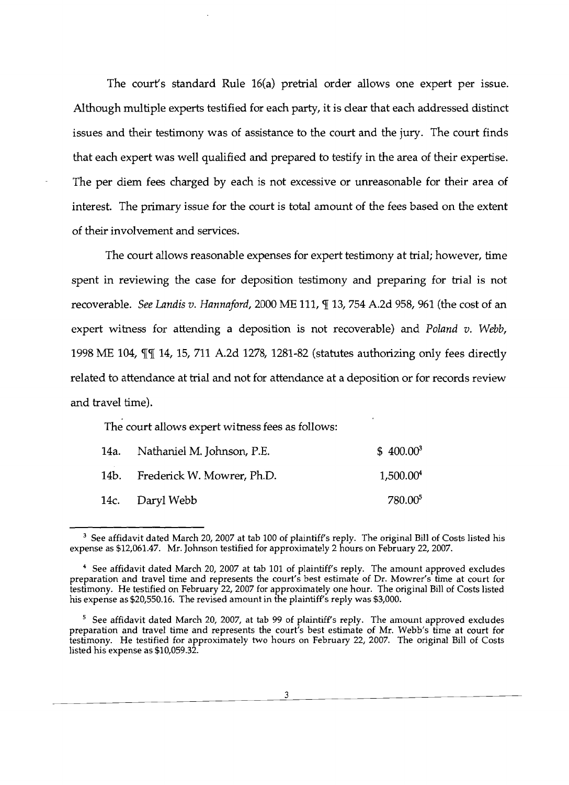The court's standard Rule 16(a) pretrial order allows one expert per issue. Although multiple experts testified for each party, it is clear that each addressed distinct issues and their testimony was of assistance to the court and the jury. The court finds that each expert was well qualified and prepared to testify in the area of their expertise. The per diem fees charged by each is not excessive or unreasonable for their area of interest. The primary issue for the court is total amount of the fees based on the extent of their involvement and services.

The court allows reasonable expenses for expert testimony at trial; however, time spent in reviewing the case for deposition testimony and preparing for trial is not recoverable. *See Landis v. Hannaford,* 2000 ME 111, *[ 13, 754 A.2d 958, 961 (the cost of an* expert witness for attending a deposition is not recoverable) and *Poland v. Webb,*  1998 ME 104,  $\P$  14, 15, 711 A.2d 1278, 1281-82 (statutes authorizing only fees directly related to attendance at trial and not for attendance at a deposition or for records review and travel time).

The court allows expert witness fees as follows:

| 14a. Nathaniel M. Johnson, P.E. | $$400.00^3$           |
|---------------------------------|-----------------------|
| 14b. Frederick W. Mowrer, Ph.D. | 1,500.00 <sup>4</sup> |
| 14c. Daryl Webb                 | 780.00 <sup>5</sup>   |

 $^3$  See affidavit dated March 20, 2007 at tab 100 of plaintiff's reply. The original Bill of Costs listed his expense as \$12,061.47. Mr. Johnson testified for approximately 2 hours on February 22, 2007.

<sup>&</sup>lt;sup>4</sup> See affidavit dated March 20, 2007 at tab 101 of plaintiff's reply. The amount approved excludes preparation and travel time and represents the court's best estimate of Dr. Mowrer's time at court for testimony. He testified on February 22, 2007 for approximately one hour. The original Bill of Costs listed his expense as \$20,550.16. The revised amount in the plaintiff's reply was \$3,000.

<sup>&</sup>lt;sup>5</sup> See affidavit dated March 20, 2007, at tab 99 of plaintiff's reply. The amount approved excludes preparation and travel time and represents the court's best estimate of Mr. Webb's time at court for testimony. He testified for approximately two hours on February 22, 2007. The original Bill of Costs listed his expense as \$10,059.32.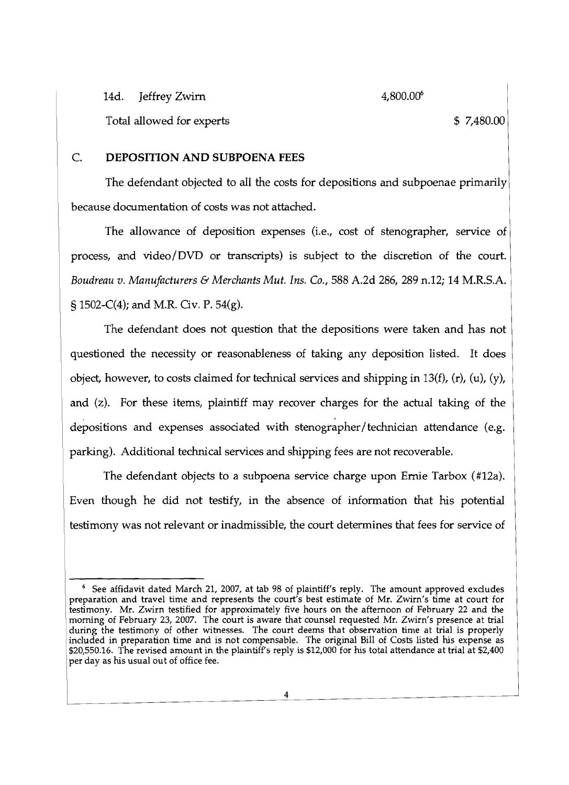14d. Jeffrey Zwirn 4,800.00<sup>6</sup>

Total allowed for experts  $$7,480.00$ 

# C. **DEPOSITION AND SUBPOENA FEES**

The defendant objected to all the costs for depositions and subpoenae primarily because documentation of costs was not attached.

The allowance of deposition expenses (i.e., cost of stenographer, service of process, and video/DVD or transcripts) is subject to the discretion of the court. *Boudreau v. Manufacturers* & *Merchants Mut. Ins. Co.,* 588 A.2d 286,289 n.12; 14 M.R.S.A. § 1502-C(4); and M.R. Civ. P. 54(g).

The defendant does not question that the depositions were taken and has not questioned the necessity or reasonableness of taking any deposition listed. It does object, however, to costs claimed for technical services and shipping in 13(f), (r), (u), (y), and (z). For these items, plaintiff may recover charges for the actual taking of the depositions and expenses associated with stenographer/technician attendance (e.g. parking). Additional technical services and shipping fees are not recoverable.

The defendant objects to a subpoena service charge upon Ernie Tarbox (#12a). Even though he did not testify, in the absence of information that his potential testimony was not relevant or inadmissible, the court determines that fees for service of

See affidavit dated March 21, 2007, at tab 98 of plaintiff's reply. The amount approved excludes See attidavit dated March 21, 2007, at tab 98 of plainuit's reply. The amount approved excludes<br>preparation and travel time and represents the court's best estimate of Mr. Zwirn's time at court for testimony. Mr. Zwirn testified for approximately five hours on the afternoon of February 22 and the morning of February 23, 2007. The court is aware that counsel requested Mr. Zwirn's presence at trial during the testimony of other witnesses. The court deems that observation time at trial is properly included in preparation time and is not compensable. The original Bill of Costs listed his expense as \$20,550.16. The revised amount in the plaintiff's reply is \$12,000 for his total attendance at trial at \$2,400 per day as his usual out of office fee.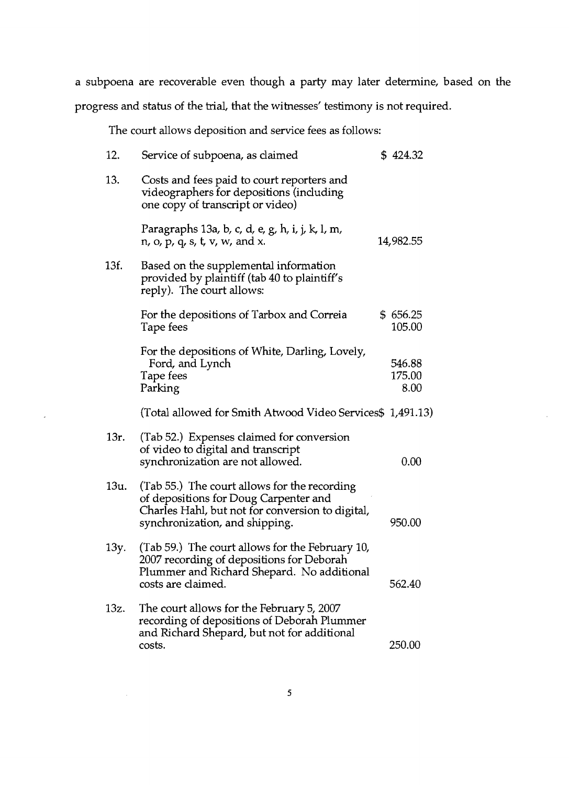a subpoena are recoverable even though a party may later determine, based on the progress and status of the trial, that the witnesses' testimony is not required.

The court allows deposition and service fees as follows:

| 12.  | Service of subpoena, as claimed                                                                                                                                             | \$424.32                 |
|------|-----------------------------------------------------------------------------------------------------------------------------------------------------------------------------|--------------------------|
| 13.  | Costs and fees paid to court reporters and<br>videographers for depositions (including<br>one copy of transcript or video)                                                  |                          |
|      | Paragraphs 13a, b, c, d, e, g, h, i, j, k, l, m,<br>$n$ , o, $p$ , $q$ , $s$ , $t$ , $v$ , $w$ , and $x$ .                                                                  | 14,982.55                |
| 13f. | Based on the supplemental information<br>provided by plaintiff (tab 40 to plaintiff's<br>reply). The court allows:                                                          |                          |
|      | For the depositions of Tarbox and Correia<br>Tape fees                                                                                                                      | \$656.25<br>105.00       |
|      | For the depositions of White, Darling, Lovely,<br>Ford, and Lynch<br>Tape fees<br>Parking                                                                                   | 546.88<br>175.00<br>8.00 |
|      | (Total allowed for Smith Atwood Video Services\$ 1,491.13)                                                                                                                  |                          |
| 13r. | (Tab 52.) Expenses claimed for conversion<br>of video to digital and transcript<br>synchronization are not allowed.                                                         | 0.00                     |
| 13u. | (Tab 55.) The court allows for the recording<br>of depositions for Doug Carpenter and<br>Charles Hahl, but not for conversion to digital,<br>synchronization, and shipping. | 950.00                   |
| 13y. | (Tab 59.) The court allows for the February 10,<br>2007 recording of depositions for Deborah<br>Plummer and Richard Shepard. No additional<br>costs are claimed.            | 562.40                   |
| 13z. | The court allows for the February 5, 2007<br>recording of depositions of Deborah Plummer<br>and Richard Shepard, but not for additional<br>costs.                           | 250.00                   |

 $\epsilon$ 

 $\sim$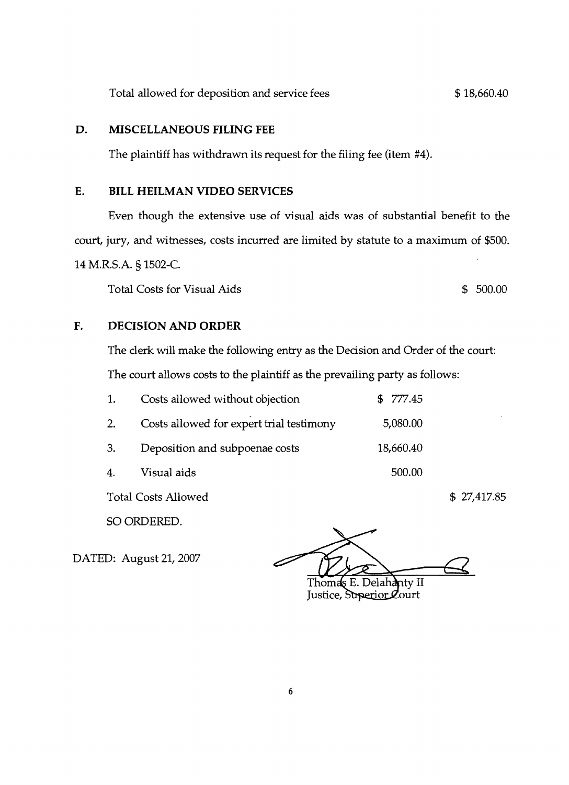Total allowed for deposition and service fees  $$ 18,660.40$ 

## **D. MISCELLANEOUS FILING FEE**

The plaintiff has withdrawn its request for the filing fee (item #4).

## **E. BILL HEILMAN VIDEO SERVICES**

Even though the extensive use of visual aids was of substantial benefit to the court, jury, and witnesses, costs incurred are limited by statute to a maximum of \$500. 14 M.R.S.A. § 1502-C.

Total Costs for Visual Aids  $$500.00$ 

# **F. DECISION AND ORDER**

The clerk will make the following entry as the Decision and Order of the court: The court allows costs to the plaintiff as the prevailing party as follows:

| 1. | Costs allowed without objection          | \$777.45  |
|----|------------------------------------------|-----------|
| 2. | Costs allowed for expert trial testimony | 5,080.00  |
| 3. | Deposition and subpoenae costs           | 18,660.40 |
| 4. | Visual aids                              | 500.00    |

Total Costs Allowed \$ 27,417.85

SO ORDERED.

DATED: August 21,2007

nty  $\overline{\rm II}$ Thomas E. Justice, Superior Court